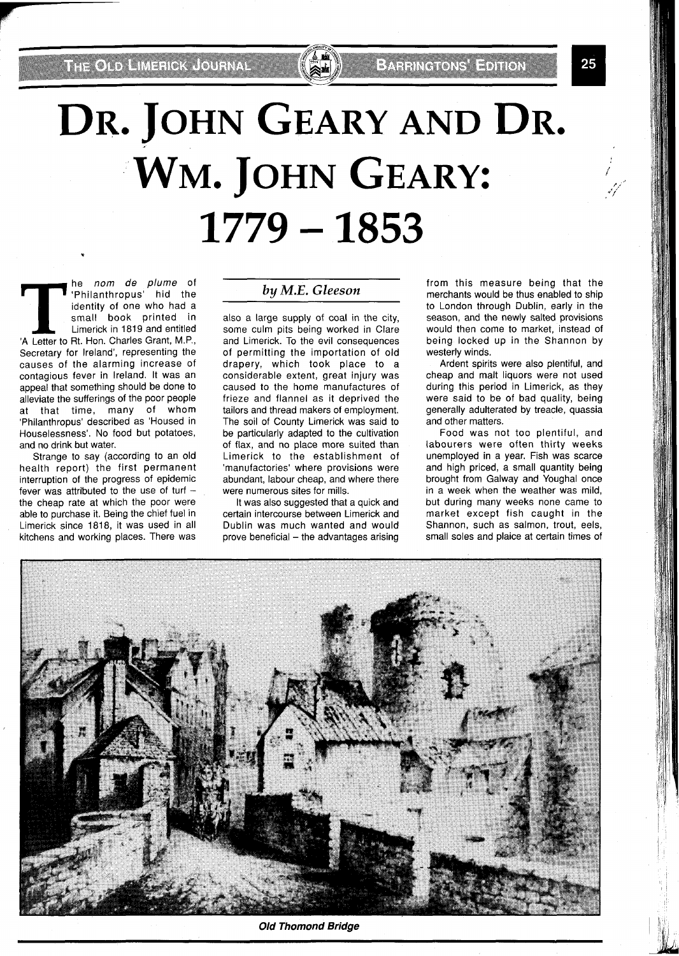**THE OLD AMERICA LOURNAL** 

# DR. JOHN GEARY AND DR. WM. JOHN GEARY:  $1779 - 1853$

**T T Philanthropus'** hid the identity of one who had a small book printed in Limerick in 1819 and entitled A Letter to Rt. Hon. Charles Grant, M.P., 'Philanthropus' hid the identity of one who had a small book printed in Limerick in 1819 and entitled 'A Letter to Rt. Hon. Charles Grant, M.P., Secretary for Ireland', representing the causes of the alarming increase of contagious fever in Ireland. It was an appeal that something should be done to alleviate the sufferings of the poor people at that time, many of whom 'Philanthropus' described as 'Housed in Houselessness'. No food but potatoes, and no drink but water.

Strange to say (according to an old health report) the first permanent interruption of the progress of epidemic fever was attributed to the use of turf  $$ the cheap rate at which the poor were able to purchase it. Being the chief fuel in Limerick since 1818, it was used in all kitchens and working places. There was

## **by** *M.E. Gleeson*

also a large supply of coal in the city, some culm pits being worked in Clare and Limerick. To the evil consequences of permitting the importation of old drapery, which took place to a considerable extent, great injury was caused to the home manufactures of frieze and flannel as it deprived the tailors and thread makers of employment. The soil of County Limerick was said to be particularly adapted to the cultivation of flax, and no place more suited than Limerick to the establishment of 'manufactories' where provisions were abundant, labour cheap, and where there were numerous sites for mills.

It was also suggested that a quick and certain intercourse between Limerick and Dublin was much wanted and would prove beneficial  $-$  the advantages arising

from this measure being that the merchants would be thus enabled to ship to London through Dublin, early in the season, and the newly salted provisions would then come to market, instead of being locked up in the Shannon by westerly winds.

Ardent spirits were also plentiful, and cheap and malt liquors were not used during this period in Limerick, as they were said to be of bad quality, being generally adulterated by treacle, quassia and other matters.

Food was not too plentiful, and labourers were often thirty weeks unemployed in a year. Fish was scarce and high priced, a small quantity being brought from Galway and Youghal once in a week when the weather was mild, but during many weeks none came to market except fish caught in the Shannon, such as salmon, trout, eels, small soles and plaice at certain times of



**Old Thomond Bridge**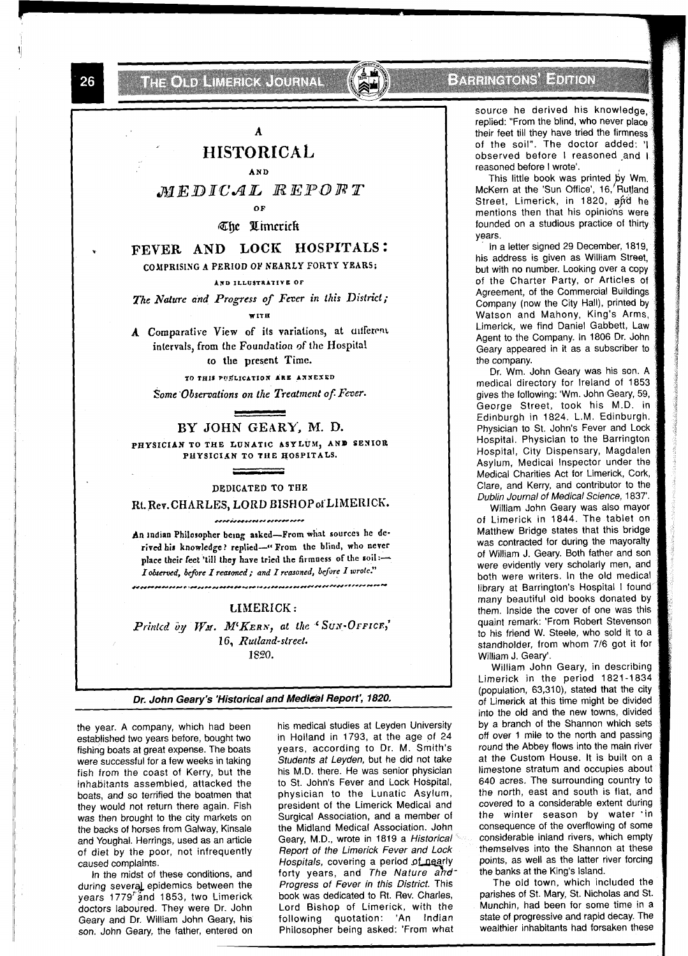THE OLD HIMSELO ALL ON HALL

**Extraged Service** 

# A HISTORICAL

AND

MEDICAL REPORT

 $\Omega$ 

The Umerick

## FEVER AND LOCK HOSPITALS:

## COMPRISING A PERIOD OF NEARLY FORTY YEARS;

AND ILLUSTRATIVE OF

The Nature and Progress of Fever in this District; **WITH** 

A Comparative View of its variations, at different intervals, from the Foundation of the Hospital to the present Time.

TO THIS PUSLICATION ARE ANNEXED

## Some Observations on the Treatment of Fever.

BY JOHN GEARY, M. D. PHYSICIAN TO THE LUNATIC ASYLUM, AND SENIOR PHYSICIAN TO THE HOSPITALS.

#### DEDICATED TO THE

Rt. Rev. CHARLES, LORD BISHOP of LIMERICK. acacionementalemente

An indian Philosopher being asked-From what sources he derived his knowledge? replied-"From the blind, who never place their feet 'till they have tried the firmness of the soil:-I observed, before I reasoned; and I reasoned, before I wrote."

#### LIMERICK:

Printed by WM. M'KERN, at the 'SUN-OFFICE,' 16, Rutland-street. 1820.

Dr. John Geary's 'Historical and Medical Report', 1820.

the year. A company, which had been established two years before, bought two fishing boats at great expense. The boats were successful for a few weeks in taking fish from the coast of Kerry, but the inhabitants assembled, attacked the boats, and so terrified the boatmen that they would not return there again. Fish was then brought to the city markets on the backs of horses from Galway, Kinsale and Youghal. Herrings, used as an article of diet by the poor, not infrequently caused complaints.

In the midst of these conditions, and during several epidemics between the years 1779"and 1853, two Limerick doctors laboured. They were Dr. John Geary and Dr. William John Geary, his son. John Geary, the father, entered on

his medical studies at Leyden University in Holland in 1793, at the age of 24 years, according to Dr. M. Smith's Students at Leyden, but he did not take his M.D. there. He was senior physician to St. John's Fever and Lock Hospital, physician to the Lunatic Asylum, president of the Limerick Medical and Surgical Association, and a member of the Midland Medical Association. John Geary, M.D., wrote in 1819 a Historical Report of the Limerick Fever and Lock Hospitals, covering a period of nearly forty years, and The Nature and Progress of Fever in this District. This book was dedicated to Rt. Rev. Charles, Lord Bishop of Limerick, with the following quotation: 'An Indian Philosopher being asked: 'From what

source he derived his knowledge. replied: "From the blind, who never place their feet till they have tried the firmness of the soil". The doctor added: 'I observed before I reasoned and I reasoned before I wrote'.

This little book was printed by Wm. McKern at the 'Sun Office', 16, Rutland Street, Limerick, in 1820, and he mentions then that his opinions were founded on a studious practice of thirty years.

In a letter signed 29 December, 1819, his address is given as William Street, but with no number. Looking over a copy of the Charter Party, or Articles of Agreement, of the Commercial Buildings Company (now the City Hall), printed by Watson and Mahony, King's Arms, Limerick, we find Daniel Gabbett, Law Agent to the Company. In 1806 Dr. John Geary appeared in it as a subscriber to the company.

Dr. Wm. John Geary was his son. A medical directory for Ireland of 1853 gives the following: 'Wm. John Geary, 59, George Street, took his M.D. in Edinburgh in 1824. L.M. Edinburgh. Physician to St. John's Fever and Lock Hospital. Physician to the Barrington Hospital, City Dispensary, Magdalen Asylum, Medical Inspector under the Medical Charities Act for Limerick, Cork, Clare, and Kerry, and contributor to the Dublin Journal of Medical Science, 1837'.

William John Geary was also mayor of Limerick in 1844. The tablet on Matthew Bridge states that this bridge was contracted for during the mayoralty of William J. Geary. Both father and son were evidently very scholarly men, and both were writers. In the old medical library at Barrington's Hospital I found many beautiful old books donated by them. Inside the cover of one was this quaint remark: 'From Robert Stevenson to his friend W. Steele, who sold it to a standholder, from whom 7/6 got it for William J. Geary'.

William John Geary, in describing Limerick in the period 1821-1834 (population, 63,310), stated that the city of Limerick at this time might be divided into the old and the new towns, divided by a branch of the Shannon which sets off over 1 mile to the north and passing round the Abbey flows into the main river at the Custom House. It is built on a limestone stratum and occupies about 640 acres. The surrounding country to the north, east and south is flat, and covered to a considerable extent during the winter season by water in consequence of the overflowing of some considerable inland rivers, which empty themselves into the Shannon at these points, as well as the latter river forcing the banks at the King's Island.

The old town, which included the parishes of St. Mary, St. Nicholas and St. Munchin, had been for some time in a state of progressive and rapid decay. The wealthier inhabitants had forsaken these

26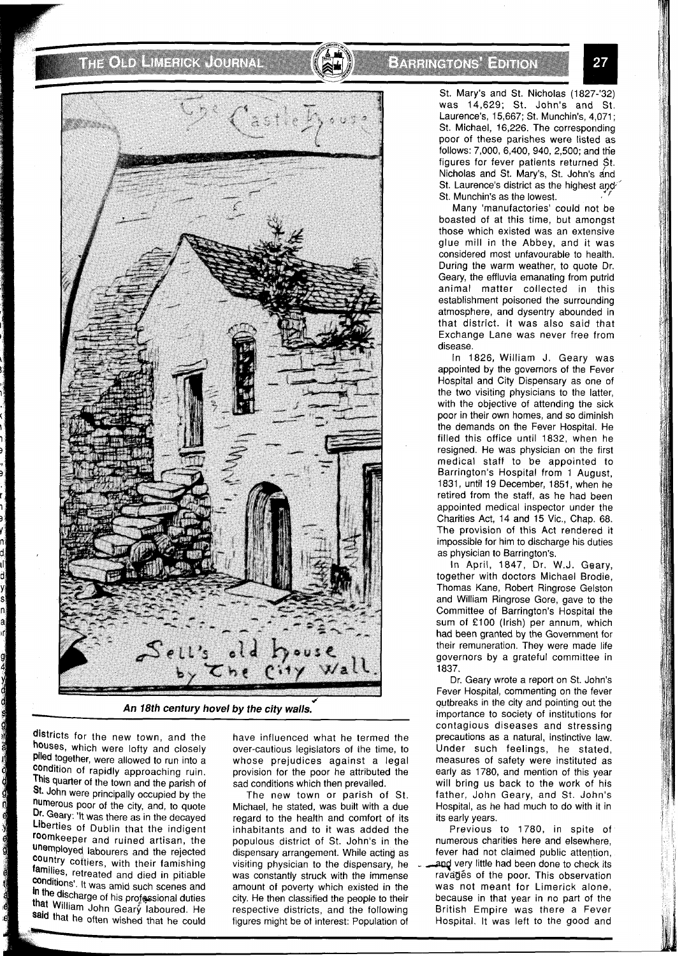# THORN MARK TOURS





*An 18th century hovel by the city walls.* 

districts for the new town, and the houses, which were lofty and closely Piled together, were allowed to run into a Condition of rapidly approaching ruin. This quarter of the town and the parish of **St.** John were principally occupied by the numerous poor of the city, and, to quote Dr. Geary: 'It was there as in the decayed Liberties of Dublin that the indigent roomkeeper and ruined artisan, the unemployed labourers and the rejected country cottiers, with their famishing families, retreated and died in pitiable conditions'. It was amid such scenes and in the discharge of his professional duties that William John Geary laboured. He said that he often wished that he could

have influenced what he termed the over-cautious legislators of the time, to whose prejudices against a legal provision for the poor he attributed the sad conditions which then prevailed.

The new town or parish of St. Michael, he stated, was built with a due regard to the health and comfort of its inhabitants and to it was added the populous district of St. John's in the dispensary arrangement. While acting as visiting physician to the dispensary, he was constantly struck with the immense amount of poverty which existed in the city. He then classified the people to their respective districts, and the following figures might be of interest: Population of

St. Mary's and St. Nicholas (1827-'32) was 14,629; St. John's and St. Laurence's, 15,667; St. Munchin's, 4,071 ; St. Michael, 16,226. The corresponding poor of these parishes were listed as follows: 7,000, 6,400, 940, 2,500; and the figures for fever patients returned St. Nicholas and St. Mary's, St. John's and St. Laurence's district as the highest and St. Munchin's as the lowest.

Many 'manufactories' could not be boasted of at this time, but amongst those which existed was an extensive glue mill in the Abbey, and it was considered most unfavourable to health. During the warm weather, to quote Dr. Geary, the effluvia emanating from putrid animal matter collected in this establishment poisoned the surrounding atmosphere, and dysentry abounded in that district. It was also said that Exchange Lane was never free from disease.

In 1826, William J. Geary was appointed **by** the governors of the Fever Hospital and City Dispensary as one of the two visiting physicians to the latter, with the objective of attending the sick poor in their own homes, and so diminish the demands on the Fever Hospital. He filled this office until 1832, when he resigned. He was physician on the first medical staff to be appointed to Barrington's Hospital from 1 August, 1831, until 19 December, 1851, when he retired from the staff, as he had been appointed medical inspector under the Charities Act, 14 and 15 Vic., Chap. 68. The provision of this Act rendered it impossible for him to discharge his duties as physician to Barrington's.

In April, 1847, Dr. W.J. Geary, together with doctors Michael Brodie, Thomas Kane, Robert Ringrose Gelston and William Ringrose Gore, gave to the Committee of Barrington's Hospital the sum of £100 (Irish) per annum, which had been granted by the Government for their remuneration. They were made life governors by a grateful committee in 1837.

Dr. Geary wrote a report on St. John's Fever Hospital, commenting on the fever qutbreaks in the city and pointing out the importance to society of institutions for contagious diseases and stressing precautions as a natural, instinctive law. Under such feelings, he stated, measures of safety were instituted as early as 1780, and mention of this year will bring us back to the work of his father. John Geary, and St. John's Hospital, as he had much to do with it in its early years.

Previous to 1780, in spite of numerous charities here and elsewhere, fever had not claimed public attention, and very little had been done to check its ravagés of the poor. This observation was not meant for Limerick alone, because in that year in no part of the British Empire was there a Fever Hospital. It was left to the good and

27